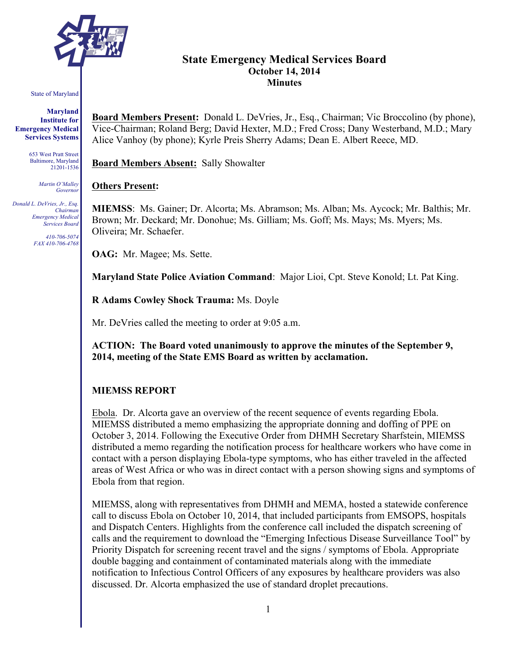

# **State Emergency Medical Services Board October 14, 2014 Minutes**

#### State of Maryland

**Maryland Institute for Emergency Medical Services Systems**

> 653 West Pratt Street Baltimore, Maryland 21201-1536

> > *Martin O'Malley Governor*

*Donald L. DeVries, Jr., Esq. Chairman Emergency Medical Services Board*

> *410-706-5074 FAX 410-706-4768*

**Board Members Present:** Donald L. DeVries, Jr., Esq., Chairman; Vic Broccolino (by phone), Vice-Chairman; Roland Berg; David Hexter, M.D.; Fred Cross; Dany Westerband, M.D.; Mary Alice Vanhoy (by phone); Kyrle Preis Sherry Adams; Dean E. Albert Reece, MD.

**Board Members Absent:** Sally Showalter

#### **Others Present:**

**MIEMSS**: Ms. Gainer; Dr. Alcorta; Ms. Abramson; Ms. Alban; Ms. Aycock; Mr. Balthis; Mr. Brown; Mr. Deckard; Mr. Donohue; Ms. Gilliam; Ms. Goff; Ms. Mays; Ms. Myers; Ms. Oliveira; Mr. Schaefer.

**OAG:** Mr. Magee; Ms. Sette.

**Maryland State Police Aviation Command**: Major Lioi, Cpt. Steve Konold; Lt. Pat King.

**R Adams Cowley Shock Trauma:** Ms. Doyle

Mr. DeVries called the meeting to order at 9:05 a.m.

**ACTION: The Board voted unanimously to approve the minutes of the September 9, 2014, meeting of the State EMS Board as written by acclamation.**

#### **MIEMSS REPORT**

Ebola. Dr. Alcorta gave an overview of the recent sequence of events regarding Ebola. MIEMSS distributed a memo emphasizing the appropriate donning and doffing of PPE on October 3, 2014. Following the Executive Order from DHMH Secretary Sharfstein, MIEMSS distributed a memo regarding the notification process for healthcare workers who have come in contact with a person displaying Ebola-type symptoms, who has either traveled in the affected areas of West Africa or who was in direct contact with a person showing signs and symptoms of Ebola from that region.

MIEMSS, along with representatives from DHMH and MEMA, hosted a statewide conference call to discuss Ebola on October 10, 2014, that included participants from EMSOPS, hospitals and Dispatch Centers. Highlights from the conference call included the dispatch screening of calls and the requirement to download the "Emerging Infectious Disease Surveillance Tool" by Priority Dispatch for screening recent travel and the signs / symptoms of Ebola. Appropriate double bagging and containment of contaminated materials along with the immediate notification to Infectious Control Officers of any exposures by healthcare providers was also discussed. Dr. Alcorta emphasized the use of standard droplet precautions.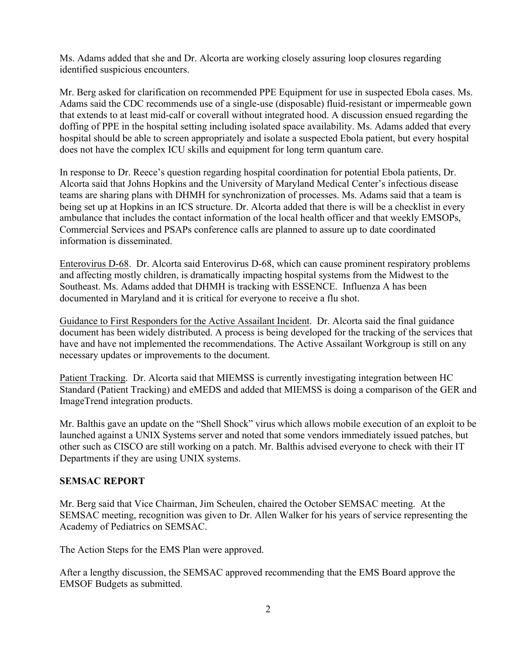Ms. Adams added that she and Dr. Alcorta are working closely assuring loop closures regarding identified suspicious encounters.

Mr. Berg asked for clarification on recommended PPE Equipment for use in suspected Ebola cases. Ms. Adams said the CDC recommends use of a single-use (disposable) fluid-resistant or impermeable gown that extends to at least mid-calf or coverall without integrated hood. A discussion ensued regarding the doffing of PPE in the hospital setting including isolated space availability. Ms. Adams added that every hospital should be able to screen appropriately and isolate a suspected Ebola patient, but every hospital does not have the complex ICU skills and equipment for long term quantum care.

In response to Dr. Reece's question regarding hospital coordination for potential Ebola patients, Dr. Alcorta said that Johns Hopkins and the University of Maryland Medical Center's infectious disease teams are sharing plans with DHMH for synchronization of processes. Ms. Adams said that a team is being set up at Hopkins in an ICS structure. Dr. Alcorta added that there is will be a checklist in every ambulance that includes the contact information of the local health officer and that weekly EMSOPs, Commercial Services and PSAPs conference calls are planned to assure up to date coordinated information is disseminated.

Enterovirus D-68. Dr. Alcorta said Enterovirus D-68, which can cause prominent respiratory problems and affecting mostly children, is dramatically impacting hospital systems from the Midwest to the Southeast. Ms. Adams added that DHMH is tracking with ESSENCE. Influenza A has been documented in Maryland and it is critical for everyone to receive a flu shot.

Guidance to First Responders for the Active Assailant Incident. Dr. Alcorta said the final guidance document has been widely distributed. A process is being developed for the tracking of the services that have and have not implemented the recommendations. The Active Assailant Workgroup is still on any necessary updates or improvements to the document.

Patient Tracking. Dr. Alcorta said that MIEMSS is currently investigating integration between HC Standard (Patient Tracking) and eMEDS and added that MIEMSS is doing a comparison of the GER and ImageTrend integration products.

Mr. Balthis gave an update on the "Shell Shock" virus which allows mobile execution of an exploit to be launched against a UNIX Systems server and noted that some vendors immediately issued patches, but other such as CISCO are still working on a patch. Mr. Balthis advised everyone to check with their IT Departments if they are using UNIX systems.

### **SEMSAC REPORT**

Mr. Berg said that Vice Chairman, Jim Scheulen, chaired the October SEMSAC meeting. At the SEMSAC meeting, recognition was given to Dr. Allen Walker for his years of service representing the Academy of Pediatrics on SEMSAC.

The Action Steps for the EMS Plan were approved.

After a lengthy discussion, the SEMSAC approved recommending that the EMS Board approve the EMSOF Budgets as submitted.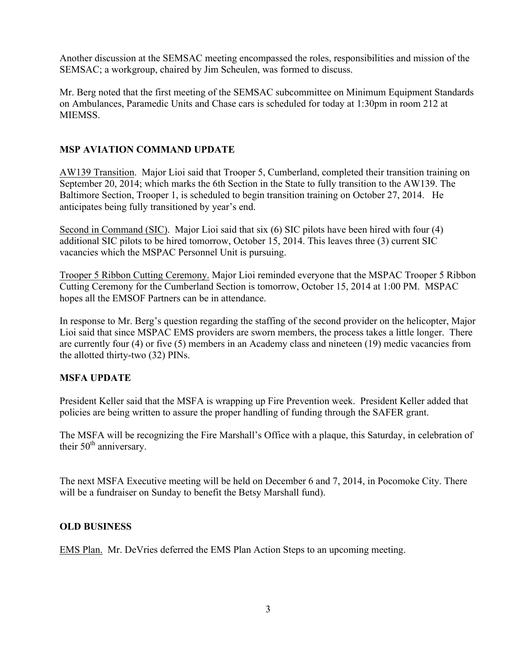Another discussion at the SEMSAC meeting encompassed the roles, responsibilities and mission of the SEMSAC; a workgroup, chaired by Jim Scheulen, was formed to discuss.

Mr. Berg noted that the first meeting of the SEMSAC subcommittee on Minimum Equipment Standards on Ambulances, Paramedic Units and Chase cars is scheduled for today at 1:30pm in room 212 at MIEMSS.

## **MSP AVIATION COMMAND UPDATE**

AW139 Transition. Major Lioi said that Trooper 5, Cumberland, completed their transition training on September 20, 2014; which marks the 6th Section in the State to fully transition to the AW139. The Baltimore Section, Trooper 1, is scheduled to begin transition training on October 27, 2014. He anticipates being fully transitioned by year's end.

Second in Command (SIC). Major Lioi said that six (6) SIC pilots have been hired with four (4) additional SIC pilots to be hired tomorrow, October 15, 2014. This leaves three (3) current SIC vacancies which the MSPAC Personnel Unit is pursuing.

Trooper 5 Ribbon Cutting Ceremony. Major Lioi reminded everyone that the MSPAC Trooper 5 Ribbon Cutting Ceremony for the Cumberland Section is tomorrow, October 15, 2014 at 1:00 PM. MSPAC hopes all the EMSOF Partners can be in attendance.

In response to Mr. Berg's question regarding the staffing of the second provider on the helicopter, Major Lioi said that since MSPAC EMS providers are sworn members, the process takes a little longer. There are currently four (4) or five (5) members in an Academy class and nineteen (19) medic vacancies from the allotted thirty-two (32) PINs.

### **MSFA UPDATE**

President Keller said that the MSFA is wrapping up Fire Prevention week. President Keller added that policies are being written to assure the proper handling of funding through the SAFER grant.

The MSFA will be recognizing the Fire Marshall's Office with a plaque, this Saturday, in celebration of their  $50<sup>th</sup>$  anniversary.

The next MSFA Executive meeting will be held on December 6 and 7, 2014, in Pocomoke City. There will be a fundraiser on Sunday to benefit the Betsy Marshall fund).

### **OLD BUSINESS**

EMS Plan. Mr. DeVries deferred the EMS Plan Action Steps to an upcoming meeting.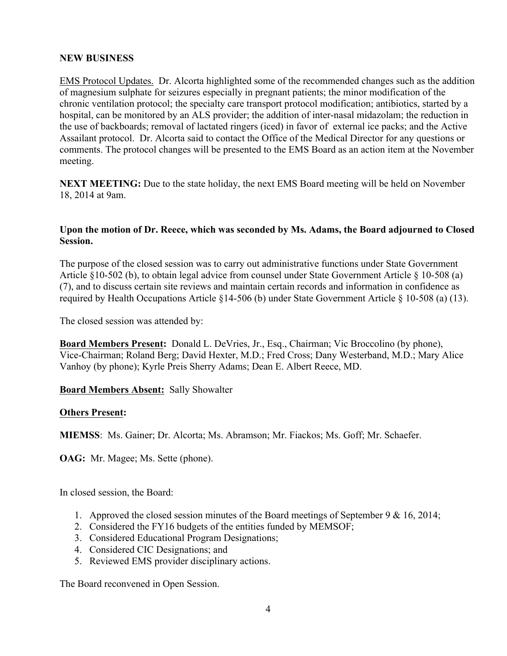#### **NEW BUSINESS**

EMS Protocol Updates. Dr. Alcorta highlighted some of the recommended changes such as the addition of magnesium sulphate for seizures especially in pregnant patients; the minor modification of the chronic ventilation protocol; the specialty care transport protocol modification; antibiotics, started by a hospital, can be monitored by an ALS provider; the addition of inter-nasal midazolam; the reduction in the use of backboards; removal of lactated ringers (iced) in favor of external ice packs; and the Active Assailant protocol. Dr. Alcorta said to contact the Office of the Medical Director for any questions or comments. The protocol changes will be presented to the EMS Board as an action item at the November meeting.

**NEXT MEETING:** Due to the state holiday, the next EMS Board meeting will be held on November 18, 2014 at 9am.

#### **Upon the motion of Dr. Reece, which was seconded by Ms. Adams, the Board adjourned to Closed Session.**

The purpose of the closed session was to carry out administrative functions under State Government Article §10-502 (b), to obtain legal advice from counsel under State Government Article § 10-508 (a) (7), and to discuss certain site reviews and maintain certain records and information in confidence as required by Health Occupations Article §14-506 (b) under State Government Article § 10-508 (a) (13).

The closed session was attended by:

**Board Members Present:** Donald L. DeVries, Jr., Esq., Chairman; Vic Broccolino (by phone), Vice-Chairman; Roland Berg; David Hexter, M.D.; Fred Cross; Dany Westerband, M.D.; Mary Alice Vanhoy (by phone); Kyrle Preis Sherry Adams; Dean E. Albert Reece, MD.

**Board Members Absent:** Sally Showalter

#### **Others Present:**

**MIEMSS**: Ms. Gainer; Dr. Alcorta; Ms. Abramson; Mr. Fiackos; Ms. Goff; Mr. Schaefer.

**OAG:** Mr. Magee; Ms. Sette (phone).

In closed session, the Board:

- 1. Approved the closed session minutes of the Board meetings of September 9 & 16, 2014;
- 2. Considered the FY16 budgets of the entities funded by MEMSOF;
- 3. Considered Educational Program Designations;
- 4. Considered CIC Designations; and
- 5. Reviewed EMS provider disciplinary actions.

The Board reconvened in Open Session.